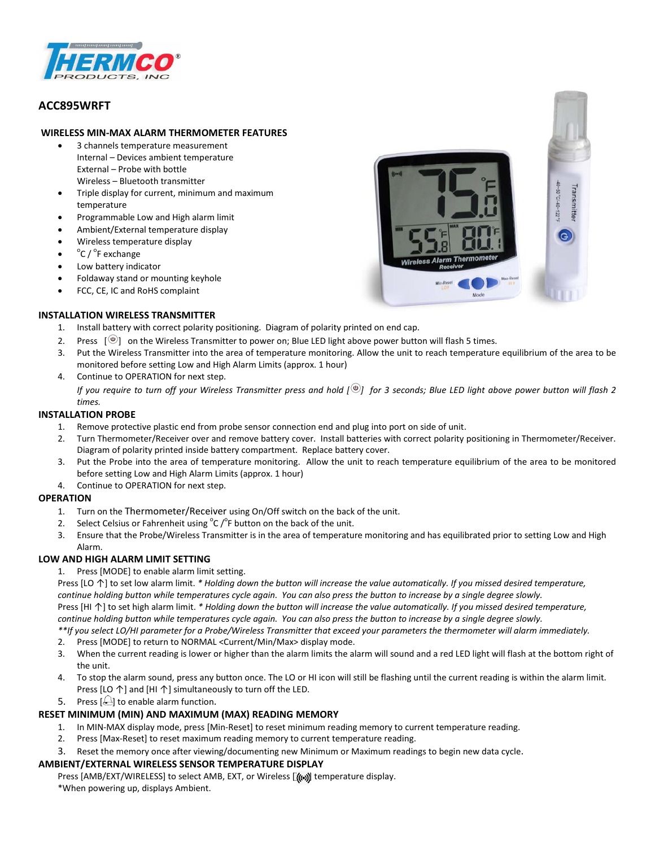

# **ACC895WRFT**

# **WIRELESS MIN-MAX ALARM THERMOMETER FEATURES**

- 3 channels temperature measurement Internal – Devices ambient temperature External – Probe with bottle Wireless – Bluetooth transmitter
- Triple display for current, minimum and maximum temperature
- Programmable Low and High alarm limit
- Ambient/External temperature display
- Wireless temperature display
- $^{\circ}$ C /  $^{\circ}$ F exchange
- Low battery indicator
- Foldaway stand or mounting keyhole
- FCC, CE, IC and RoHS complaint

# **INSTALLATION WIRELESS TRANSMITTER**

- 1. Install battery with correct polarity positioning. Diagram of polarity printed on end cap.
- 2. Press  $\lceil \frac{\omega}{2} \rceil$  on the Wireless Transmitter to power on; Blue LED light above power button will flash 5 times.
- 3. Put the Wireless Transmitter into the area of temperature monitoring. Allow the unit to reach temperature equilibrium of the area to be monitored before setting Low and High Alarm Limits (approx. 1 hour)
- 4. Continue to OPERATION for next step.

*If you require to turn off your Wireless Transmitter press and hold*  $\int_{0}^{\infty}$  *for 3 seconds; Blue LED light above power button will flash 2 times.*

# **INSTALLATION PROBE**

- 1. Remove protective plastic end from probe sensor connection end and plug into port on side of unit.
- 2. Turn Thermometer/Receiver over and remove battery cover. Install batteries with correct polarity positioning in Thermometer/Receiver. Diagram of polarity printed inside battery compartment. Replace battery cover.
- 3. Put the Probe into the area of temperature monitoring. Allow the unit to reach temperature equilibrium of the area to be monitored before setting Low and High Alarm Limits (approx. 1 hour)
- 4. Continue to OPERATION for next step.

### **OPERATION**

- 1. Turn on the Thermometer/Receiver using On/Off switch on the back of the unit.
- 2. Select Celsius or Fahrenheit using  ${}^{\circ}$ C / ${}^{\circ}$ F button on the back of the unit.
- 3. Ensure that the Probe/Wireless Transmitter is in the area of temperature monitoring and has equilibrated prior to setting Low and High Alarm.

### **LOW AND HIGH ALARM LIMIT SETTING**

1. Press [MODE] to enable alarm limit setting.

Press [LO ↑] to set low alarm limit. *\* Holding down the button will increase the value automatically. If you missed desired temperature, continue holding button while temperatures cycle again. You can also press the button to increase by a single degree slowly.* Press [HI ↑] to set high alarm limit. *\* Holding down the button will increase the value automatically. If you missed desired temperature, continue holding button while temperatures cycle again. You can also press the button to increase by a single degree slowly.*

*\*\*If you select LO/HI parameter for a Probe/Wireless Transmitter that exceed your parameters the thermometer will alarm immediately.*

- 2. Press [MODE] to return to NORMAL <Current/Min/Max> display mode.
- 3. When the current reading is lower or higher than the alarm limits the alarm will sound and a red LED light will flash at the bottom right of the unit.
- 4. To stop the alarm sound, press any button once. The LO or HI icon will still be flashing until the current reading is within the alarm limit. Press [LO  $\uparrow$ ] and [HI  $\uparrow$ ] simultaneously to turn off the LED.
- 5. Press  $\left[\frac{1}{2}\right]$  to enable alarm function.

# **RESET MINIMUM (MIN) AND MAXIMUM (MAX) READING MEMORY**

- 1. In MIN-MAX display mode, press [Min-Reset] to reset minimum reading memory to current temperature reading.
- 2. Press [Max-Reset] to reset maximum reading memory to current temperature reading.
- 3. Reset the memory once after viewing/documenting new Minimum or Maximum readings to begin new data cycle.

### **AMBIENT/EXTERNAL WIRELESS SENSOR TEMPERATURE DISPLAY**

Press [AMB/EXT/WIRELESS] to select AMB, EXT, or Wireless [((w)) temperature display. \*When powering up, displays Ambient.